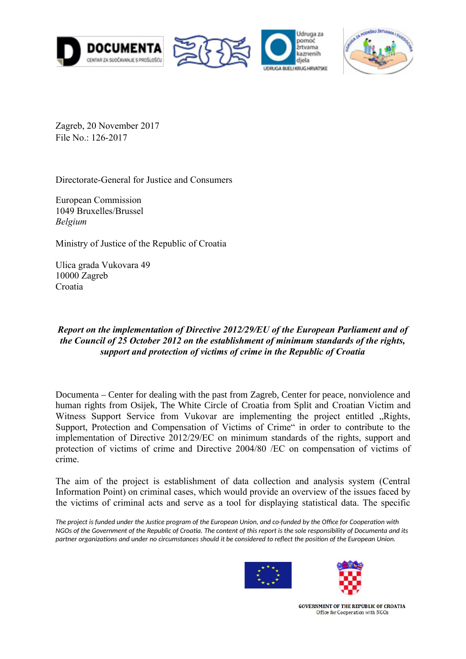







Zagreb, 20 November 2017 File No.: 126-2017

Directorate-General for Justice and Consumers

European Commission 1049 Bruxelles/Brussel *Belgium*

Ministry of Justice of the Republic of Croatia

Ulica grada Vukovara 49 10000 Zagreb Croatia

# *Report on the implementation of Directive 2012/29/EU of the European Parliament and of the Council of 25 October 2012 on the establishment of minimum standards of the rights, support and protection of victims of crime in the Republic of Croatia*

Documenta – Center for dealing with the past from Zagreb, Center for peace, nonviolence and human rights from Osijek, The White Circle of Croatia from Split and Croatian Victim and Witness Support Service from Vukovar are implementing the project entitled Rights, Support, Protection and Compensation of Victims of Crime" in order to contribute to the implementation of Directive 2012/29/EC on minimum standards of the rights, support and protection of victims of crime and Directive 2004/80 /EC on compensation of victims of crime.

The aim of the project is establishment of data collection and analysis system (Central Information Point) on criminal cases, which would provide an overview of the issues faced by the victims of criminal acts and serve as a tool for displaying statistical data. The specific

*The project is funded under the Justice program of the European Union, and co-funded by the Office for Cooperation with NGOs of the Government of the Republic of Croatia. The content of this report is the sole responsibility of Documenta and its partner organizations and under no circumstances should it be considered to reflect the position of the European Union.*



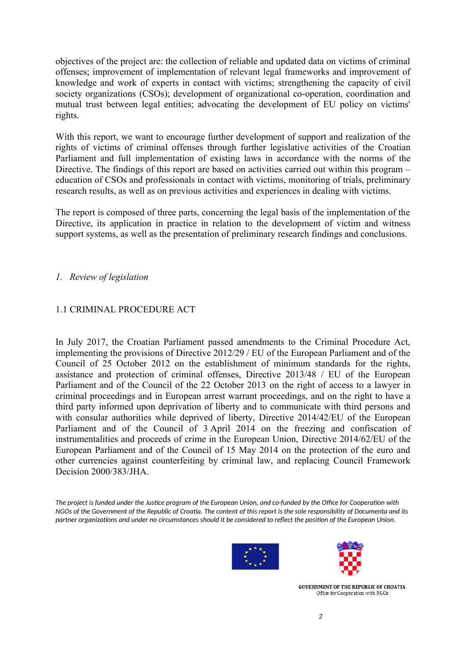objectives of the project are: the collection of reliable and updated data on victims of criminal offenses; improvement of implementation of relevant legal frameworks and improvement of knowledge and work of experts in contact with victims; strengthening the capacity of civil society organizations (CSOs); development of organizational co-operation, coordination and mutual trust between legal entities; advocating the development of EU policy on victims' rights.

With this report, we want to encourage further development of support and realization of the rights of victims of criminal offenses through further legislative activities of the Croatian Parliament and full implementation of existing laws in accordance with the norms of the Directive. The findings of this report are based on activities carried out within this program – education of CSOs and professionals in contact with victims, monitoring of trials, preliminary research results, as well as on previous activities and experiences in dealing with victims.

The report is composed of three parts, concerning the legal basis of the implementation of the Directive, its application in practice in relation to the development of victim and witness support systems, as well as the presentation of preliminary research findings and conclusions.

# *1. Review of legislation*

# 1.1 CRIMINAL PROCEDURE ACT

In July 2017, the Croatian Parliament passed amendments to the Criminal Procedure Act, implementing the provisions of Directive 2012/29 / EU of the European Parliament and of the Council of 25 October 2012 on the establishment of minimum standards for the rights, assistance and protection of criminal offenses, Directive 2013/48 / EU of the European Parliament and of the Council of the 22 October 2013 on the right of access to a lawyer in criminal proceedings and in European arrest warrant proceedings, and on the right to have a third party informed upon deprivation of liberty and to communicate with third persons and with consular authorities while deprived of liberty, Directive 2014/42/EU of the European Parliament and of the Council of 3 April 2014 on the freezing and confiscation of instrumentalities and proceeds of crime in the European Union, Directive 2014/62/EU of the European Parliament and of the Council of 15 May 2014 on the protection of the euro and other currencies against counterfeiting by criminal law, and replacing Council Framework Decision 2000/383/JHA.

*The project is funded under the Justice program of the European Union, and co-funded by the Office for Cooperation with NGOs of the Government of the Republic of Croatia. The content of this report is the sole responsibility of Documenta and its partner organizations and under no circumstances should it be considered to reflect the position of the European Union.*



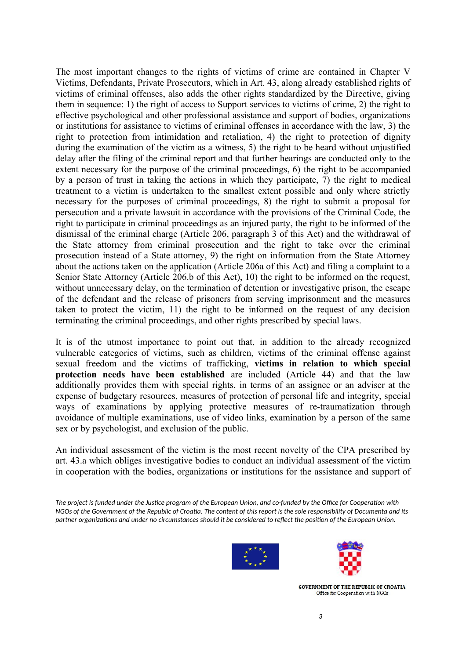The most important changes to the rights of victims of crime are contained in Chapter V Victims, Defendants, Private Prosecutors, which in Art. 43, along already established rights of victims of criminal offenses, also adds the other rights standardized by the Directive, giving them in sequence: 1) the right of access to Support services to victims of crime, 2) the right to effective psychological and other professional assistance and support of bodies, organizations or institutions for assistance to victims of criminal offenses in accordance with the law, 3) the right to protection from intimidation and retaliation, 4) the right to protection of dignity during the examination of the victim as a witness, 5) the right to be heard without unjustified delay after the filing of the criminal report and that further hearings are conducted only to the extent necessary for the purpose of the criminal proceedings, 6) the right to be accompanied by a person of trust in taking the actions in which they participate, 7) the right to medical treatment to a victim is undertaken to the smallest extent possible and only where strictly necessary for the purposes of criminal proceedings, 8) the right to submit a proposal for persecution and a private lawsuit in accordance with the provisions of the Criminal Code, the right to participate in criminal proceedings as an injured party, the right to be informed of the dismissal of the criminal charge (Article 206, paragraph 3 of this Act) and the withdrawal of the State attorney from criminal prosecution and the right to take over the criminal prosecution instead of a State attorney, 9) the right on information from the State Attorney about the actions taken on the application (Article 206a of this Act) and filing a complaint to a Senior State Attorney (Article 206.b of this Act), 10) the right to be informed on the request, without unnecessary delay, on the termination of detention or investigative prison, the escape of the defendant and the release of prisoners from serving imprisonment and the measures taken to protect the victim, 11) the right to be informed on the request of any decision terminating the criminal proceedings, and other rights prescribed by special laws.

It is of the utmost importance to point out that, in addition to the already recognized vulnerable categories of victims, such as children, victims of the criminal offense against sexual freedom and the victims of trafficking, **victims in relation to which special protection needs have been established** are included (Article 44) and that the law additionally provides them with special rights, in terms of an assignee or an adviser at the expense of budgetary resources, measures of protection of personal life and integrity, special ways of examinations by applying protective measures of re-traumatization through avoidance of multiple examinations, use of video links, examination by a person of the same sex or by psychologist, and exclusion of the public.

An individual assessment of the victim is the most recent novelty of the CPA prescribed by art. 43.a which obliges investigative bodies to conduct an individual assessment of the victim in cooperation with the bodies, organizations or institutions for the assistance and support of

*The project is funded under the Justice program of the European Union, and co-funded by the Office for Cooperation with NGOs of the Government of the Republic of Croatia. The content of this report is the sole responsibility of Documenta and its partner organizations and under no circumstances should it be considered to reflect the position of the European Union.*



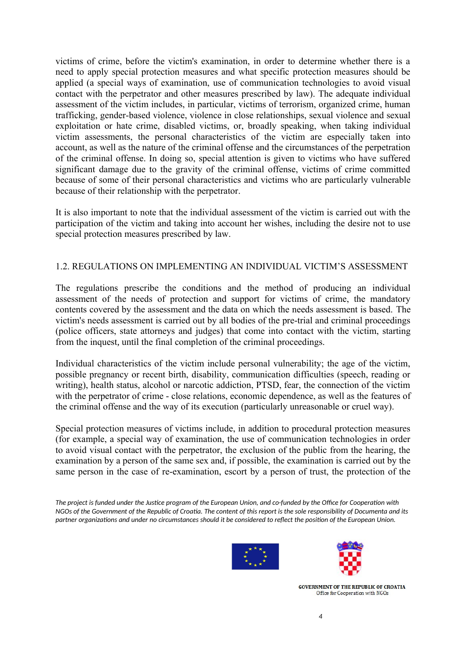victims of crime, before the victim's examination, in order to determine whether there is a need to apply special protection measures and what specific protection measures should be applied (a special ways of examination, use of communication technologies to avoid visual contact with the perpetrator and other measures prescribed by law). The adequate individual assessment of the victim includes, in particular, victims of terrorism, organized crime, human trafficking, gender-based violence, violence in close relationships, sexual violence and sexual exploitation or hate crime, disabled victims, or, broadly speaking, when taking individual victim assessments, the personal characteristics of the victim are especially taken into account, as well as the nature of the criminal offense and the circumstances of the perpetration of the criminal offense. In doing so, special attention is given to victims who have suffered significant damage due to the gravity of the criminal offense, victims of crime committed because of some of their personal characteristics and victims who are particularly vulnerable because of their relationship with the perpetrator.

It is also important to note that the individual assessment of the victim is carried out with the participation of the victim and taking into account her wishes, including the desire not to use special protection measures prescribed by law.

## 1.2. REGULATIONS ON IMPLEMENTING AN INDIVIDUAL VICTIM'S ASSESSMENT

The regulations prescribe the conditions and the method of producing an individual assessment of the needs of protection and support for victims of crime, the mandatory contents covered by the assessment and the data on which the needs assessment is based. The victim's needs assessment is carried out by all bodies of the pre-trial and criminal proceedings (police officers, state attorneys and judges) that come into contact with the victim, starting from the inquest, until the final completion of the criminal proceedings.

Individual characteristics of the victim include personal vulnerability; the age of the victim, possible pregnancy or recent birth, disability, communication difficulties (speech, reading or writing), health status, alcohol or narcotic addiction, PTSD, fear, the connection of the victim with the perpetrator of crime - close relations, economic dependence, as well as the features of the criminal offense and the way of its execution (particularly unreasonable or cruel way).

Special protection measures of victims include, in addition to procedural protection measures (for example, a special way of examination, the use of communication technologies in order to avoid visual contact with the perpetrator, the exclusion of the public from the hearing, the examination by a person of the same sex and, if possible, the examination is carried out by the same person in the case of re-examination, escort by a person of trust, the protection of the

*The project is funded under the Justice program of the European Union, and co-funded by the Office for Cooperation with NGOs of the Government of the Republic of Croatia. The content of this report is the sole responsibility of Documenta and its partner organizations and under no circumstances should it be considered to reflect the position of the European Union.*



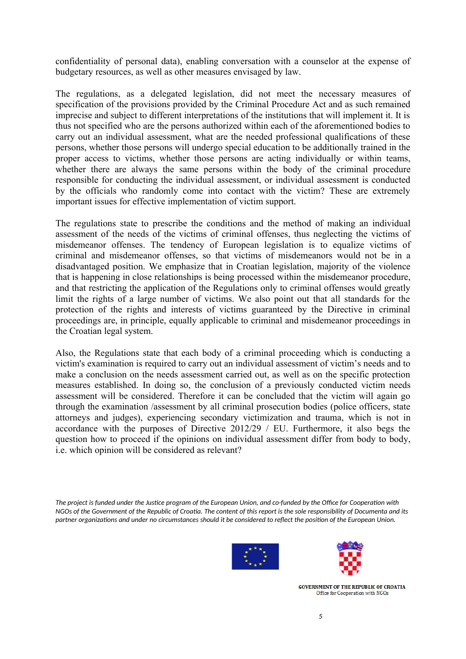confidentiality of personal data), enabling conversation with a counselor at the expense of budgetary resources, as well as other measures envisaged by law.

The regulations, as a delegated legislation, did not meet the necessary measures of specification of the provisions provided by the Criminal Procedure Act and as such remained imprecise and subject to different interpretations of the institutions that will implement it. It is thus not specified who are the persons authorized within each of the aforementioned bodies to carry out an individual assessment, what are the needed professional qualifications of these persons, whether those persons will undergo special education to be additionally trained in the proper access to victims, whether those persons are acting individually or within teams, whether there are always the same persons within the body of the criminal procedure responsible for conducting the individual assessment, or individual assessment is conducted by the officials who randomly come into contact with the victim? These are extremely important issues for effective implementation of victim support.

The regulations state to prescribe the conditions and the method of making an individual assessment of the needs of the victims of criminal offenses, thus neglecting the victims of misdemeanor offenses. The tendency of European legislation is to equalize victims of criminal and misdemeanor offenses, so that victims of misdemeanors would not be in a disadvantaged position. We emphasize that in Croatian legislation, majority of the violence that is happening in close relationships is being processed within the misdemeanor procedure, and that restricting the application of the Regulations only to criminal offenses would greatly limit the rights of a large number of victims. We also point out that all standards for the protection of the rights and interests of victims guaranteed by the Directive in criminal proceedings are, in principle, equally applicable to criminal and misdemeanor proceedings in the Croatian legal system.

Also, the Regulations state that each body of a criminal proceeding which is conducting a victim's examination is required to carry out an individual assessment of victim's needs and to make a conclusion on the needs assessment carried out, as well as on the specific protection measures established. In doing so, the conclusion of a previously conducted victim needs assessment will be considered. Therefore it can be concluded that the victim will again go through the examination /assessment by all criminal prosecution bodies (police officers, state attorneys and judges), experiencing secondary victimization and trauma, which is not in accordance with the purposes of Directive 2012/29 / EU. Furthermore, it also begs the question how to proceed if the opinions on individual assessment differ from body to body, i.e. which opinion will be considered as relevant?

*The project is funded under the Justice program of the European Union, and co-funded by the Office for Cooperation with NGOs of the Government of the Republic of Croatia. The content of this report is the sole responsibility of Documenta and its partner organizations and under no circumstances should it be considered to reflect the position of the European Union.*



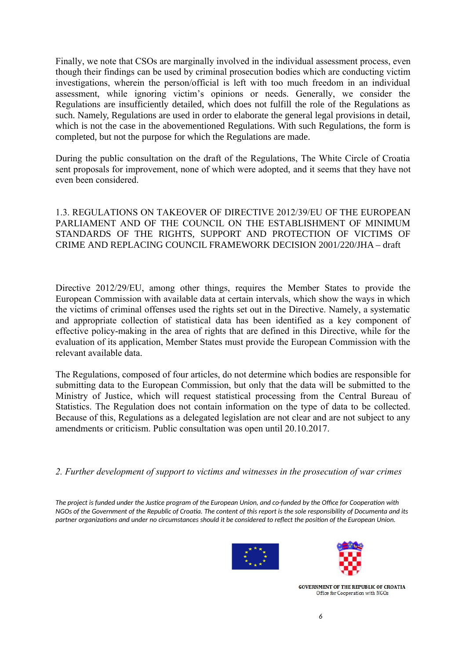Finally, we note that CSOs are marginally involved in the individual assessment process, even though their findings can be used by criminal prosecution bodies which are conducting victim investigations, wherein the person/official is left with too much freedom in an individual assessment, while ignoring victim's opinions or needs. Generally, we consider the Regulations are insufficiently detailed, which does not fulfill the role of the Regulations as such. Namely, Regulations are used in order to elaborate the general legal provisions in detail, which is not the case in the abovementioned Regulations. With such Regulations, the form is completed, but not the purpose for which the Regulations are made.

During the public consultation on the draft of the Regulations, The White Circle of Croatia sent proposals for improvement, none of which were adopted, and it seems that they have not even been considered.

1.3. REGULATIONS ON TAKEOVER OF DIRECTIVE 2012/39/EU OF THE EUROPEAN PARLIAMENT AND OF THE COUNCIL ON THE ESTABLISHMENT OF MINIMUM STANDARDS OF THE RIGHTS, SUPPORT AND PROTECTION OF VICTIMS OF CRIME AND REPLACING COUNCIL FRAMEWORK DECISION 2001/220/JHA – draft

Directive 2012/29/EU, among other things, requires the Member States to provide the European Commission with available data at certain intervals, which show the ways in which the victims of criminal offenses used the rights set out in the Directive. Namely, a systematic and appropriate collection of statistical data has been identified as a key component of effective policy-making in the area of rights that are defined in this Directive, while for the evaluation of its application, Member States must provide the European Commission with the relevant available data.

The Regulations, composed of four articles, do not determine which bodies are responsible for submitting data to the European Commission, but only that the data will be submitted to the Ministry of Justice, which will request statistical processing from the Central Bureau of Statistics. The Regulation does not contain information on the type of data to be collected. Because of this, Regulations as a delegated legislation are not clear and are not subject to any amendments or criticism. Public consultation was open until 20.10.2017.

*2. Further development of support to victims and witnesses in the prosecution of war crimes*

*The project is funded under the Justice program of the European Union, and co-funded by the Office for Cooperation with NGOs of the Government of the Republic of Croatia. The content of this report is the sole responsibility of Documenta and its partner organizations and under no circumstances should it be considered to reflect the position of the European Union.*



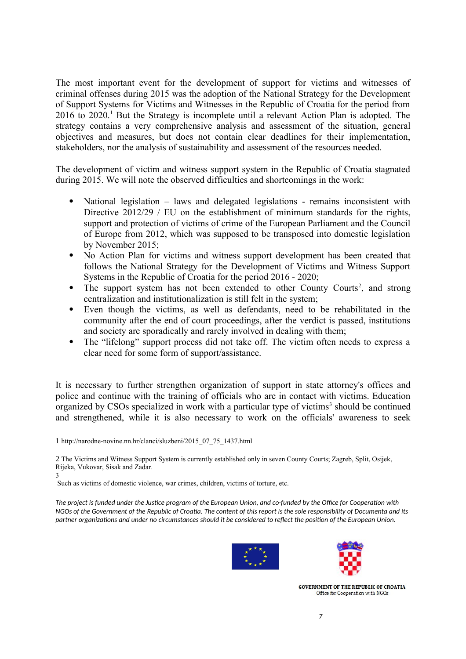The most important event for the development of support for victims and witnesses of criminal offenses during 2015 was the adoption of the National Strategy for the Development of Support Systems for Victims and Witnesses in the Republic of Croatia for the period from 20[1](#page-6-0)6 to 2020.<sup>1</sup> But the Strategy is incomplete until a relevant Action Plan is adopted. The strategy contains a very comprehensive analysis and assessment of the situation, general objectives and measures, but does not contain clear deadlines for their implementation, stakeholders, nor the analysis of sustainability and assessment of the resources needed.

The development of victim and witness support system in the Republic of Croatia stagnated during 2015. We will note the observed difficulties and shortcomings in the work:

- National legislation laws and delegated legislations remains inconsistent with Directive 2012/29 / EU on the establishment of minimum standards for the rights, support and protection of victims of crime of the European Parliament and the Council of Europe from 2012, which was supposed to be transposed into domestic legislation by November 2015;
- No Action Plan for victims and witness support development has been created that follows the National Strategy for the Development of Victims and Witness Support Systems in the Republic of Croatia for the period 2016 - 2020;
- The support system has not been extended to other County Courts<sup>[2](#page-6-1)</sup>, and strong centralization and institutionalization is still felt in the system;
- Even though the victims, as well as defendants, need to be rehabilitated in the community after the end of court proceedings, after the verdict is passed, institutions and society are sporadically and rarely involved in dealing with them;
- The "lifelong" support process did not take off. The victim often needs to express a clear need for some form of support/assistance.

It is necessary to further strengthen organization of support in state attorney's offices and police and continue with the training of officials who are in contact with victims. Education organized by CSOs specialized in work with a particular type of victims<sup>[3](#page-6-2)</sup> should be continued and strengthened, while it is also necessary to work on the officials' awareness to seek

<span id="page-6-1"></span>2 The Victims and Witness Support System is currently established only in seven County Courts; Zagreb, Split, Osijek, Rijeka, Vukovar, Sisak and Zadar. 3

<span id="page-6-2"></span>Such as victims of domestic violence, war crimes, children, victims of torture, etc.

*The project is funded under the Justice program of the European Union, and co-funded by the Office for Cooperation with NGOs of the Government of the Republic of Croatia. The content of this report is the sole responsibility of Documenta and its partner organizations and under no circumstances should it be considered to reflect the position of the European Union.*





<span id="page-6-0"></span><sup>1</sup> http://narodne-novine.nn.hr/clanci/sluzbeni/2015\_07\_75\_1437.html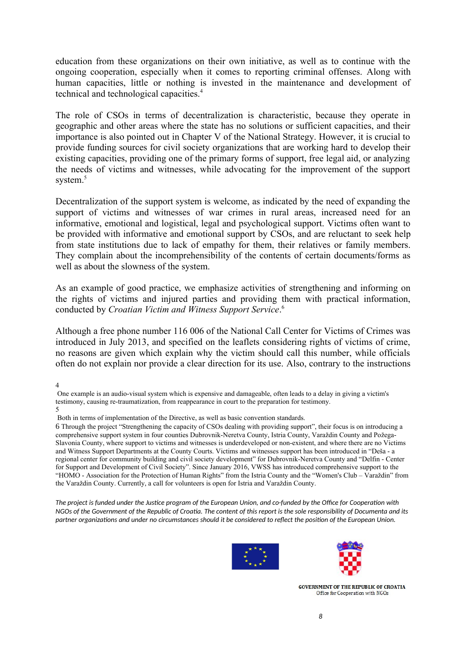education from these organizations on their own initiative, as well as to continue with the ongoing cooperation, especially when it comes to reporting criminal offenses. Along with human capacities, little or nothing is invested in the maintenance and development of technical and technological capacities.<sup>[4](#page-7-0)</sup>

The role of CSOs in terms of decentralization is characteristic, because they operate in geographic and other areas where the state has no solutions or sufficient capacities, and their importance is also pointed out in Chapter V of the National Strategy. However, it is crucial to provide funding sources for civil society organizations that are working hard to develop their existing capacities, providing one of the primary forms of support, free legal aid, or analyzing the needs of victims and witnesses, while advocating for the improvement of the support system.<sup>[5](#page-7-1)</sup>

Decentralization of the support system is welcome, as indicated by the need of expanding the support of victims and witnesses of war crimes in rural areas, increased need for an informative, emotional and logistical, legal and psychological support. Victims often want to be provided with informative and emotional support by CSOs, and are reluctant to seek help from state institutions due to lack of empathy for them, their relatives or family members. They complain about the incomprehensibility of the contents of certain documents/forms as well as about the slowness of the system.

As an example of good practice, we emphasize activities of strengthening and informing on the rights of victims and injured parties and providing them with practical information, conducted by *Croatian Victim and Witness Support Service*. [6](#page-7-2)

Although a free phone number 116 006 of the National Call Center for Victims of Crimes was introduced in July 2013, and specified on the leaflets considering rights of victims of crime, no reasons are given which explain why the victim should call this number, while officials often do not explain nor provide a clear direction for its use. Also, contrary to the instructions

<span id="page-7-0"></span>4

<span id="page-7-1"></span>Both in terms of implementation of the Directive, as well as basic convention standards.

<span id="page-7-2"></span>6 Through the project "Strengthening the capacity of CSOs dealing with providing support", their focus is on introducing a comprehensive support system in four counties Dubrovnik-Neretva County, Istria County, Varaždin County and Požega-Slavonia County, where support to victims and witnesses is underdeveloped or non-existent, and where there are no Victims and Witness Support Departments at the County Courts. Victims and witnesses support has been introduced in "Deša - a regional center for community building and civil society development" for Dubrovnik-Neretva County and "Delfin - Center for Support and Development of Civil Society". Since January 2016, VWSS has introduced comprehensive support to the "HOMO - Association for the Protection of Human Rights" from the Istria County and the "Women's Club – Varaždin" from the Varaždin County. Currently, a call for volunteers is open for Istria and Varaždin County.

*The project is funded under the Justice program of the European Union, and co-funded by the Office for Cooperation with NGOs of the Government of the Republic of Croatia. The content of this report is the sole responsibility of Documenta and its partner organizations and under no circumstances should it be considered to reflect the position of the European Union.*





One example is an audio-visual system which is expensive and damageable, often leads to a delay in giving a victim's testimony, causing re-traumatization, from reappearance in court to the preparation for testimony. 5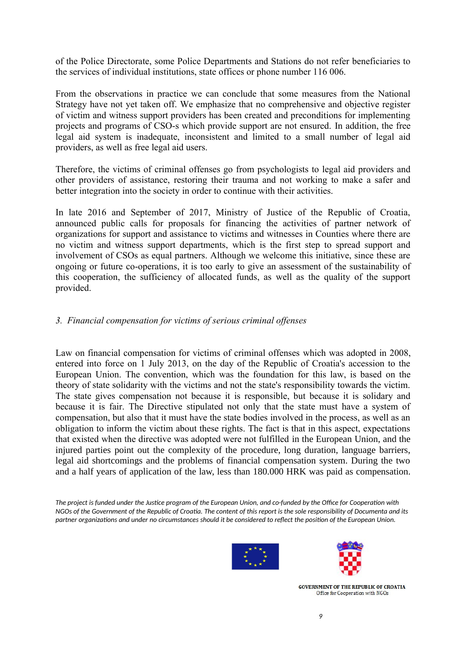of the Police Directorate, some Police Departments and Stations do not refer beneficiaries to the services of individual institutions, state offices or phone number 116 006.

From the observations in practice we can conclude that some measures from the National Strategy have not yet taken off. We emphasize that no comprehensive and objective register of victim and witness support providers has been created and preconditions for implementing projects and programs of CSO-s which provide support are not ensured. In addition, the free legal aid system is inadequate, inconsistent and limited to a small number of legal aid providers, as well as free legal aid users.

Therefore, the victims of criminal offenses go from psychologists to legal aid providers and other providers of assistance, restoring their trauma and not working to make a safer and better integration into the society in order to continue with their activities.

In late 2016 and September of 2017, Ministry of Justice of the Republic of Croatia, announced public calls for proposals for financing the activities of partner network of organizations for support and assistance to victims and witnesses in Counties where there are no victim and witness support departments, which is the first step to spread support and involvement of CSOs as equal partners. Although we welcome this initiative, since these are ongoing or future co-operations, it is too early to give an assessment of the sustainability of this cooperation, the sufficiency of allocated funds, as well as the quality of the support provided.

### *3. Financial compensation for victims of serious criminal offenses*

Law on financial compensation for victims of criminal offenses which was adopted in 2008, entered into force on 1 July 2013, on the day of the Republic of Croatia's accession to the European Union. The convention, which was the foundation for this law, is based on the theory of state solidarity with the victims and not the state's responsibility towards the victim. The state gives compensation not because it is responsible, but because it is solidary and because it is fair. The Directive stipulated not only that the state must have a system of compensation, but also that it must have the state bodies involved in the process, as well as an obligation to inform the victim about these rights. The fact is that in this aspect, expectations that existed when the directive was adopted were not fulfilled in the European Union, and the injured parties point out the complexity of the procedure, long duration, language barriers, legal aid shortcomings and the problems of financial compensation system. During the two and a half years of application of the law, less than 180.000 HRK was paid as compensation.

*The project is funded under the Justice program of the European Union, and co-funded by the Office for Cooperation with NGOs of the Government of the Republic of Croatia. The content of this report is the sole responsibility of Documenta and its partner organizations and under no circumstances should it be considered to reflect the position of the European Union.*



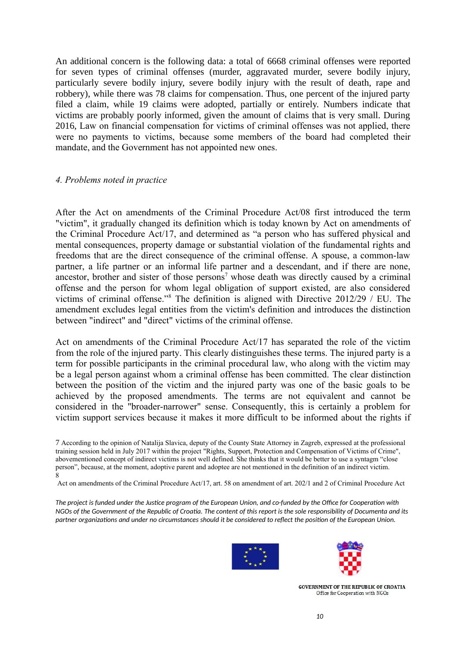An additional concern is the following data: a total of 6668 criminal offenses were reported for seven types of criminal offenses (murder, aggravated murder, severe bodily injury, particularly severe bodily injury, severe bodily injury with the result of death, rape and robbery), while there was 78 claims for compensation. Thus, one percent of the injured party filed a claim, while 19 claims were adopted, partially or entirely. Numbers indicate that victims are probably poorly informed, given the amount of claims that is very small. During 2016, Law on financial compensation for victims of criminal offenses was not applied, there were no payments to victims, because some members of the board had completed their mandate, and the Government has not appointed new ones.

#### *4. Problems noted in practice*

After the Act on amendments of the Criminal Procedure Act/08 first introduced the term "victim", it gradually changed its definition which is today known by Act on amendments of the Criminal Procedure Act/17, and determined as "a person who has suffered physical and mental consequences, property damage or substantial violation of the fundamental rights and freedoms that are the direct consequence of the criminal offense. A spouse, a common-law partner, a life partner or an informal life partner and a descendant, and if there are none, ancestor, brother and sister of those persons<sup>[7](#page-9-0)</sup> whose death was directly caused by a criminal offense and the person for whom legal obligation of support existed, are also considered victims of criminal offense."[8](#page-9-1) The definition is aligned with Directive 2012/29 / EU. The amendment excludes legal entities from the victim's definition and introduces the distinction between "indirect" and "direct" victims of the criminal offense.

Act on amendments of the Criminal Procedure Act/17 has separated the role of the victim from the role of the injured party. This clearly distinguishes these terms. The injured party is a term for possible participants in the criminal procedural law, who along with the victim may be a legal person against whom a criminal offense has been committed. The clear distinction between the position of the victim and the injured party was one of the basic goals to be achieved by the proposed amendments. The terms are not equivalent and cannot be considered in the "broader-narrower" sense. Consequently, this is certainly a problem for victim support services because it makes it more difficult to be informed about the rights if

<span id="page-9-1"></span>Act on amendments of the Criminal Procedure Act/17, art. 58 on amendment of art. 202/1 and 2 of Criminal Procedure Act

*The project is funded under the Justice program of the European Union, and co-funded by the Office for Cooperation with NGOs of the Government of the Republic of Croatia. The content of this report is the sole responsibility of Documenta and its partner organizations and under no circumstances should it be considered to reflect the position of the European Union.*





<span id="page-9-0"></span><sup>7</sup> According to the opinion of Natalija Slavica, deputy of the County State Attorney in Zagreb, expressed at the professional training session held in July 2017 within the project "Rights, Support, Protection and Compensation of Victims of Crime", abovementioned concept of indirect victims is not well defined. She thinks that it would be better to use a syntagm "close person", because, at the moment, adoptive parent and adoptee are not mentioned in the definition of an indirect victim. 8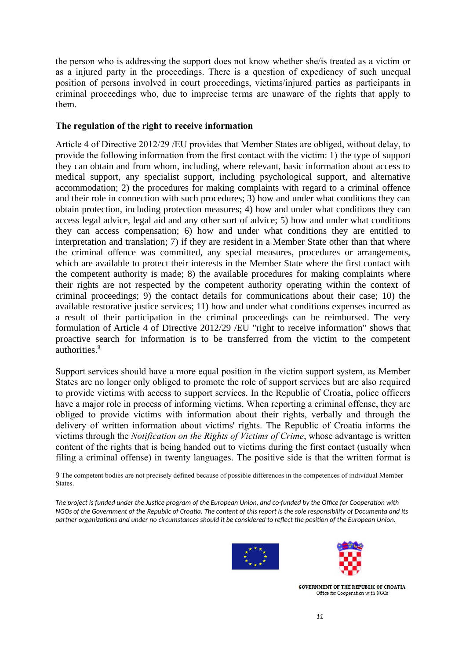the person who is addressing the support does not know whether she/is treated as a victim or as a injured party in the proceedings. There is a question of expediency of such unequal position of persons involved in court proceedings, victims/injured parties as participants in criminal proceedings who, due to imprecise terms are unaware of the rights that apply to them.

## **The regulation of the right to receive information**

Article 4 of Directive 2012/29 /EU provides that Member States are obliged, without delay, to provide the following information from the first contact with the victim: 1) the type of support they can obtain and from whom, including, where relevant, basic information about access to medical support, any specialist support, including psychological support, and alternative accommodation; 2) the procedures for making complaints with regard to a criminal offence and their role in connection with such procedures; 3) how and under what conditions they can obtain protection, including protection measures; 4) how and under what conditions they can access legal advice, legal aid and any other sort of advice; 5) how and under what conditions they can access compensation; 6) how and under what conditions they are entitled to interpretation and translation; 7) if they are resident in a Member State other than that where the criminal offence was committed, any special measures, procedures or arrangements, which are available to protect their interests in the Member State where the first contact with the competent authority is made; 8) the available procedures for making complaints where their rights are not respected by the competent authority operating within the context of criminal proceedings; 9) the contact details for communications about their case; 10) the available restorative justice services; 11) how and under what conditions expenses incurred as a result of their participation in the criminal proceedings can be reimbursed. The very formulation of Article 4 of Directive 2012/29 /EU "right to receive information" shows that proactive search for information is to be transferred from the victim to the competent authorities.<sup>[9](#page-10-0)</sup>

Support services should have a more equal position in the victim support system, as Member States are no longer only obliged to promote the role of support services but are also required to provide victims with access to support services. In the Republic of Croatia, police officers have a major role in process of informing victims. When reporting a criminal offense, they are obliged to provide victims with information about their rights, verbally and through the delivery of written information about victims' rights. The Republic of Croatia informs the victims through the *Notification on the Rights of Victims of Crime*, whose advantage is written content of the rights that is being handed out to victims during the first contact (usually when filing a criminal offense) in twenty languages. The positive side is that the written format is

<span id="page-10-0"></span>9 The competent bodies are not precisely defined because of possible differences in the competences of individual Member States.

*The project is funded under the Justice program of the European Union, and co-funded by the Office for Cooperation with NGOs of the Government of the Republic of Croatia. The content of this report is the sole responsibility of Documenta and its partner organizations and under no circumstances should it be considered to reflect the position of the European Union.*



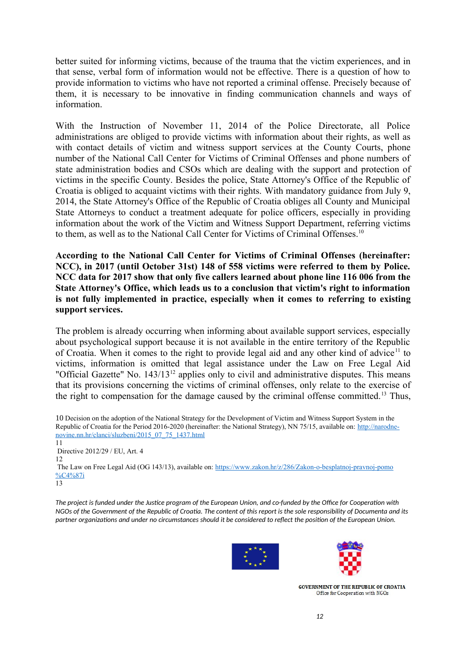better suited for informing victims, because of the trauma that the victim experiences, and in that sense, verbal form of information would not be effective. There is a question of how to provide information to victims who have not reported a criminal offense. Precisely because of them, it is necessary to be innovative in finding communication channels and ways of information.

With the Instruction of November 11, 2014 of the Police Directorate, all Police administrations are obliged to provide victims with information about their rights, as well as with contact details of victim and witness support services at the County Courts, phone number of the National Call Center for Victims of Criminal Offenses and phone numbers of state administration bodies and CSOs which are dealing with the support and protection of victims in the specific County. Besides the police, State Attorney's Office of the Republic of Croatia is obliged to acquaint victims with their rights. With mandatory guidance from July 9, 2014, the State Attorney's Office of the Republic of Croatia obliges all County and Municipal State Attorneys to conduct a treatment adequate for police officers, especially in providing information about the work of the Victim and Witness Support Department, referring victims to them, as well as to the National Call Center for Victims of Criminal Offenses.[10](#page-11-0)

**According to the National Call Center for Victims of Criminal Offenses (hereinafter: NCC), in 2017 (until October 31st) 148 of 558 victims were referred to them by Police. NCC data for 2017 show that only five callers learned about phone line 116 006 from the State Attorney's Office, which leads us to a conclusion that victim's right to information is not fully implemented in practice, especially when it comes to referring to existing support services.**

The problem is already occurring when informing about available support services, especially about psychological support because it is not available in the entire territory of the Republic of Croatia. When it comes to the right to provide legal aid and any other kind of advice<sup>[11](#page-11-1)</sup> to victims, information is omitted that legal assistance under the Law on Free Legal Aid "Official Gazette" No.  $143/13^{12}$  $143/13^{12}$  $143/13^{12}$  applies only to civil and administrative disputes. This means that its provisions concerning the victims of criminal offenses, only relate to the exercise of the right to compensation for the damage caused by the criminal offense committed.<sup>[13](#page-11-3)</sup> Thus,

<span id="page-11-0"></span>10 Decision on the adoption of the National Strategy for the Development of Victim and Witness Support System in the Republic of Croatia for the Period 2016-2020 (hereinafter: the National Strategy), NN 75/15, available on: [http://narodne](http://narodne-novine.nn.hr/clanci/sluzbeni/2015_07_75_1437.html)[novine.nn.hr/clanci/sluzbeni/2015\\_07\\_75\\_1437.html](http://narodne-novine.nn.hr/clanci/sluzbeni/2015_07_75_1437.html)

<span id="page-11-2"></span><span id="page-11-1"></span>11 Directive 2012/29 / EU, Art. 4 12 The Law on Free Legal Aid (OG 143/13), available on: [https://www.zakon.hr/z/286/Zakon-o-besplatnoj-pravnoj-pomo](https://www.zakon.hr/z/286/Zakon-o-besplatnoj-pravnoj-pomo%C4%87i) [%C4%87i](https://www.zakon.hr/z/286/Zakon-o-besplatnoj-pravnoj-pomo%C4%87i) 13

<span id="page-11-3"></span>*The project is funded under the Justice program of the European Union, and co-funded by the Office for Cooperation with NGOs of the Government of the Republic of Croatia. The content of this report is the sole responsibility of Documenta and its partner organizations and under no circumstances should it be considered to reflect the position of the European Union.*



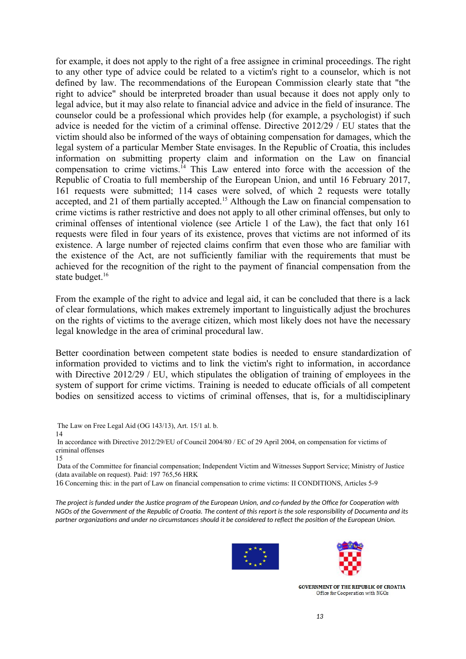for example, it does not apply to the right of a free assignee in criminal proceedings. The right to any other type of advice could be related to a victim's right to a counselor, which is not defined by law. The recommendations of the European Commission clearly state that "the right to advice" should be interpreted broader than usual because it does not apply only to legal advice, but it may also relate to financial advice and advice in the field of insurance. The counselor could be a professional which provides help (for example, a psychologist) if such advice is needed for the victim of a criminal offense. Directive 2012/29 / EU states that the victim should also be informed of the ways of obtaining compensation for damages, which the legal system of a particular Member State envisages. In the Republic of Croatia, this includes information on submitting property claim and information on the Law on financial compensation to crime victims.[14](#page-12-0) This Law entered into force with the accession of the Republic of Croatia to full membership of the European Union, and until 16 February 2017, 161 requests were submitted; 114 cases were solved, of which 2 requests were totally accepted, and 21 of them partially accepted.<sup>[15](#page-12-1)</sup> Although the Law on financial compensation to crime victims is rather restrictive and does not apply to all other criminal offenses, but only to criminal offenses of intentional violence (see Article 1 of the Law), the fact that only 161 requests were filed in four years of its existence, proves that victims are not informed of its existence. A large number of rejected claims confirm that even those who are familiar with the existence of the Act, are not sufficiently familiar with the requirements that must be achieved for the recognition of the right to the payment of financial compensation from the state budget.<sup>[16](#page-12-2)</sup>

From the example of the right to advice and legal aid, it can be concluded that there is a lack of clear formulations, which makes extremely important to linguistically adjust the brochures on the rights of victims to the average citizen, which most likely does not have the necessary legal knowledge in the area of criminal procedural law.

Better coordination between competent state bodies is needed to ensure standardization of information provided to victims and to link the victim's right to information, in accordance with Directive 2012/29 / EU, which stipulates the obligation of training of employees in the system of support for crime victims. Training is needed to educate officials of all competent bodies on sensitized access to victims of criminal offenses, that is, for a multidisciplinary

<span id="page-12-0"></span> The Law on Free Legal Aid (OG 143/13), Art. 15/1 al. b. 14

 In accordance with Directive 2012/29/EU of Council 2004/80 / EC of 29 April 2004, on compensation for victims of criminal offenses

<span id="page-12-1"></span>15

 Data of the Committee for financial compensation; Independent Victim and Witnesses Support Service; Ministry of Justice (data available on request). Paid: 197 765,56 HRK

<span id="page-12-2"></span>16 Concerning this: in the part of Law on financial compensation to crime victims: II CONDITIONS, Articles 5-9

*The project is funded under the Justice program of the European Union, and co-funded by the Office for Cooperation with NGOs of the Government of the Republic of Croatia. The content of this report is the sole responsibility of Documenta and its partner organizations and under no circumstances should it be considered to reflect the position of the European Union.*



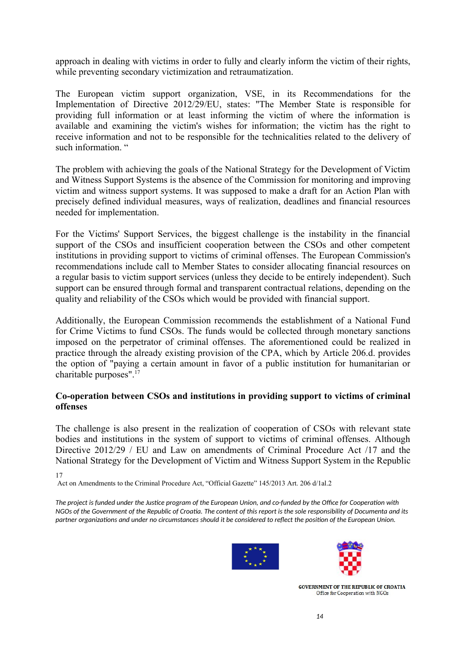approach in dealing with victims in order to fully and clearly inform the victim of their rights, while preventing secondary victimization and retraumatization.

The European victim support organization, VSE, in its Recommendations for the Implementation of Directive 2012/29/EU, states: "The Member State is responsible for providing full information or at least informing the victim of where the information is available and examining the victim's wishes for information; the victim has the right to receive information and not to be responsible for the technicalities related to the delivery of such information."

The problem with achieving the goals of the National Strategy for the Development of Victim and Witness Support Systems is the absence of the Commission for monitoring and improving victim and witness support systems. It was supposed to make a draft for an Action Plan with precisely defined individual measures, ways of realization, deadlines and financial resources needed for implementation.

For the Victims' Support Services, the biggest challenge is the instability in the financial support of the CSOs and insufficient cooperation between the CSOs and other competent institutions in providing support to victims of criminal offenses. The European Commission's recommendations include call to Member States to consider allocating financial resources on a regular basis to victim support services (unless they decide to be entirely independent). Such support can be ensured through formal and transparent contractual relations, depending on the quality and reliability of the CSOs which would be provided with financial support.

Additionally, the European Commission recommends the establishment of a National Fund for Crime Victims to fund CSOs. The funds would be collected through monetary sanctions imposed on the perpetrator of criminal offenses. The aforementioned could be realized in practice through the already existing provision of the CPA, which by Article 206.d. provides the option of "paying a certain amount in favor of a public institution for humanitarian or charitable purposes". $^{17}$  $^{17}$  $^{17}$ 

### **Co-operation between CSOs and institutions in providing support to victims of criminal offenses**

The challenge is also present in the realization of cooperation of CSOs with relevant state bodies and institutions in the system of support to victims of criminal offenses. Although Directive 2012/29 / EU and Law on amendments of Criminal Procedure Act /17 and the National Strategy for the Development of Victim and Witness Support System in the Republic

<span id="page-13-0"></span>17

Act on Amendments to the Criminal Procedure Act, "Official Gazette" 145/2013 Art. 206 d/1al.2

*The project is funded under the Justice program of the European Union, and co-funded by the Office for Cooperation with NGOs of the Government of the Republic of Croatia. The content of this report is the sole responsibility of Documenta and its partner organizations and under no circumstances should it be considered to reflect the position of the European Union.*



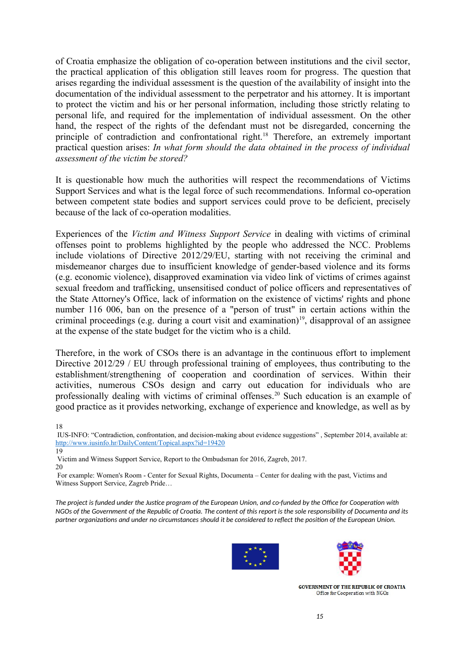of Croatia emphasize the obligation of co-operation between institutions and the civil sector, the practical application of this obligation still leaves room for progress. The question that arises regarding the individual assessment is the question of the availability of insight into the documentation of the individual assessment to the perpetrator and his attorney. It is important to protect the victim and his or her personal information, including those strictly relating to personal life, and required for the implementation of individual assessment. On the other hand, the respect of the rights of the defendant must not be disregarded, concerning the principle of contradiction and confrontational right.<sup>[18](#page-14-0)</sup> Therefore, an extremely important practical question arises: *In what form should the data obtained in the process of individual assessment of the victim be stored?*

It is questionable how much the authorities will respect the recommendations of Victims Support Services and what is the legal force of such recommendations. Informal co-operation between competent state bodies and support services could prove to be deficient, precisely because of the lack of co-operation modalities.

Experiences of the *Victim and Witness Support Service* in dealing with victims of criminal offenses point to problems highlighted by the people who addressed the NCC. Problems include violations of Directive 2012/29/EU, starting with not receiving the criminal and misdemeanor charges due to insufficient knowledge of gender-based violence and its forms (e.g. economic violence), disapproved examination via video link of victims of crimes against sexual freedom and trafficking, unsensitised conduct of police officers and representatives of the State Attorney's Office, lack of information on the existence of victims' rights and phone number 116 006, ban on the presence of a "person of trust" in certain actions within the criminal proceedings (e.g. during a court visit and examination) $19$ , disapproval of an assignee at the expense of the state budget for the victim who is a child.

Therefore, in the work of CSOs there is an advantage in the continuous effort to implement Directive 2012/29 / EU through professional training of employees, thus contributing to the establishment/strengthening of cooperation and coordination of services. Within their activities, numerous CSOs design and carry out education for individuals who are professionally dealing with victims of criminal offenses.<sup>[20](#page-14-2)</sup> Such education is an example of good practice as it provides networking, exchange of experience and knowledge, as well as by

<span id="page-14-0"></span>18

 IUS-INFO: "Contradiction, confrontation, and decision-making about evidence suggestions" , September 2014, available at: <http://www.iusinfo.hr/DailyContent/Topical.aspx?id=19420>

<span id="page-14-2"></span>Victim and Witness Support Service, Report to the Ombudsman for 2016, Zagreb, 2017.

20 For example: Women's Room - Center for Sexual Rights, Documenta – Center for dealing with the past, Victims and Witness Support Service, Zagreb Pride…

*The project is funded under the Justice program of the European Union, and co-funded by the Office for Cooperation with NGOs of the Government of the Republic of Croatia. The content of this report is the sole responsibility of Documenta and its partner organizations and under no circumstances should it be considered to reflect the position of the European Union.*





<span id="page-14-1"></span><sup>19</sup>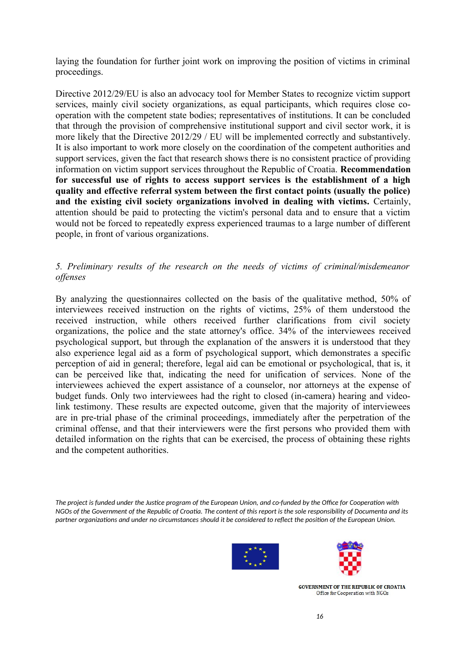laying the foundation for further joint work on improving the position of victims in criminal proceedings.

Directive 2012/29/EU is also an advocacy tool for Member States to recognize victim support services, mainly civil society organizations, as equal participants, which requires close cooperation with the competent state bodies; representatives of institutions. It can be concluded that through the provision of comprehensive institutional support and civil sector work, it is more likely that the Directive 2012/29 / EU will be implemented correctly and substantively. It is also important to work more closely on the coordination of the competent authorities and support services, given the fact that research shows there is no consistent practice of providing information on victim support services throughout the Republic of Croatia. **Recommendation for successful use of rights to access support services is the establishment of a high quality and effective referral system between the first contact points (usually the police) and the existing civil society organizations involved in dealing with victims.** Certainly, attention should be paid to protecting the victim's personal data and to ensure that a victim would not be forced to repeatedly express experienced traumas to a large number of different people, in front of various organizations.

## *5. Preliminary results of the research on the needs of victims of criminal/misdemeanor offenses*

By analyzing the questionnaires collected on the basis of the qualitative method, 50% of interviewees received instruction on the rights of victims, 25% of them understood the received instruction, while others received further clarifications from civil society organizations, the police and the state attorney's office. 34% of the interviewees received psychological support, but through the explanation of the answers it is understood that they also experience legal aid as a form of psychological support, which demonstrates a specific perception of aid in general; therefore, legal aid can be emotional or psychological, that is, it can be perceived like that, indicating the need for unification of services. None of the interviewees achieved the expert assistance of a counselor, nor attorneys at the expense of budget funds. Only two interviewees had the right to closed (in-camera) hearing and videolink testimony. These results are expected outcome, given that the majority of interviewees are in pre-trial phase of the criminal proceedings, immediately after the perpetration of the criminal offense, and that their interviewers were the first persons who provided them with detailed information on the rights that can be exercised, the process of obtaining these rights and the competent authorities.

*The project is funded under the Justice program of the European Union, and co-funded by the Office for Cooperation with NGOs of the Government of the Republic of Croatia. The content of this report is the sole responsibility of Documenta and its partner organizations and under no circumstances should it be considered to reflect the position of the European Union.*



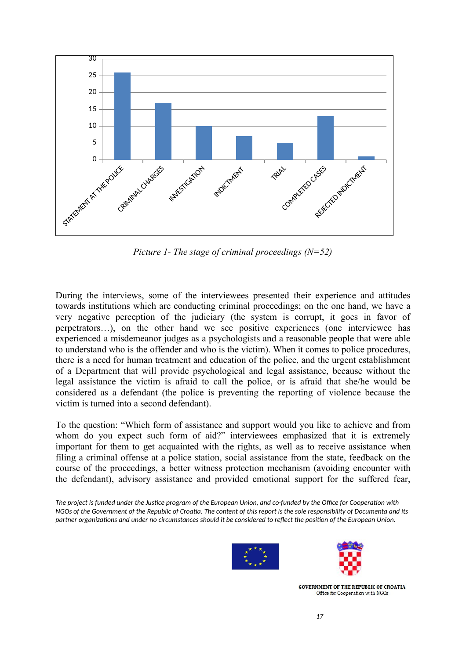

*Picture 1- The stage of criminal proceedings (N=52)*

During the interviews, some of the interviewees presented their experience and attitudes towards institutions which are conducting criminal proceedings; on the one hand, we have a very negative perception of the judiciary (the system is corrupt, it goes in favor of perpetrators…), on the other hand we see positive experiences (one interviewee has experienced a misdemeanor judges as a psychologists and a reasonable people that were able to understand who is the offender and who is the victim). When it comes to police procedures, there is a need for human treatment and education of the police, and the urgent establishment of a Department that will provide psychological and legal assistance, because without the legal assistance the victim is afraid to call the police, or is afraid that she/he would be considered as a defendant (the police is preventing the reporting of violence because the victim is turned into a second defendant).

To the question: "Which form of assistance and support would you like to achieve and from whom do you expect such form of aid?" interviewees emphasized that it is extremely important for them to get acquainted with the rights, as well as to receive assistance when filing a criminal offense at a police station, social assistance from the state, feedback on the course of the proceedings, a better witness protection mechanism (avoiding encounter with the defendant), advisory assistance and provided emotional support for the suffered fear,

*The project is funded under the Justice program of the European Union, and co-funded by the Office for Cooperation with NGOs of the Government of the Republic of Croatia. The content of this report is the sole responsibility of Documenta and its partner organizations and under no circumstances should it be considered to reflect the position of the European Union.*



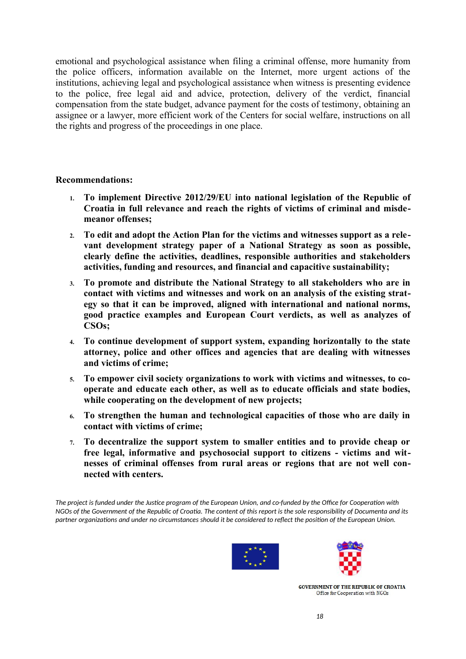emotional and psychological assistance when filing a criminal offense, more humanity from the police officers, information available on the Internet, more urgent actions of the institutions, achieving legal and psychological assistance when witness is presenting evidence to the police, free legal aid and advice, protection, delivery of the verdict, financial compensation from the state budget, advance payment for the costs of testimony, obtaining an assignee or a lawyer, more efficient work of the Centers for social welfare, instructions on all the rights and progress of the proceedings in one place.

### **Recommendations:**

- **1. To implement Directive 2012/29/EU into national legislation of the Republic of Croatia in full relevance and reach the rights of victims of criminal and misdemeanor offenses;**
- **2. To edit and adopt the Action Plan for the victims and witnesses support as a relevant development strategy paper of a National Strategy as soon as possible, clearly define the activities, deadlines, responsible authorities and stakeholders activities, funding and resources, and financial and capacitive sustainability;**
- **3. To promote and distribute the National Strategy to all stakeholders who are in contact with victims and witnesses and work on an analysis of the existing strategy so that it can be improved, aligned with international and national norms, good practice examples and European Court verdicts, as well as analyzes of CSOs;**
- **4. To continue development of support system, expanding horizontally to the state attorney, police and other offices and agencies that are dealing with witnesses and victims of crime;**
- **5. To empower civil society organizations to work with victims and witnesses, to cooperate and educate each other, as well as to educate officials and state bodies, while cooperating on the development of new projects;**
- **6. To strengthen the human and technological capacities of those who are daily in contact with victims of crime;**
- **7. To decentralize the support system to smaller entities and to provide cheap or free legal, informative and psychosocial support to citizens - victims and witnesses of criminal offenses from rural areas or regions that are not well connected with centers.**

*The project is funded under the Justice program of the European Union, and co-funded by the Office for Cooperation with NGOs of the Government of the Republic of Croatia. The content of this report is the sole responsibility of Documenta and its partner organizations and under no circumstances should it be considered to reflect the position of the European Union.*